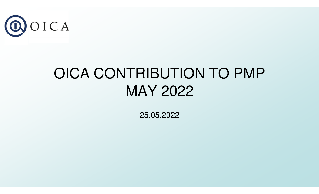

## OICA CONTRIBUTION TO PMPMAY 2022

25.05.2022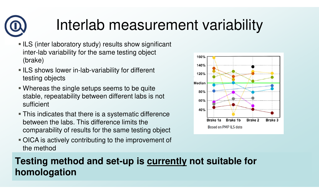## Interlab measurement variability

- **ILS** (inter laboratory study) results show significant inter-lab variability for the same testing object (brake)
- **ILS shows lower in-lab-variability for different** testing objects
- Whereas the single setups seems to be quite stable, repeatability between different labs is not sufficient
- This indicates that there is a systematic difference between the labs. This difference limits the comparability of results for the same testing object
- OICA is actively contributing to the improvement of the method



#### **Testing method and set-up is currently not suitable for homologation**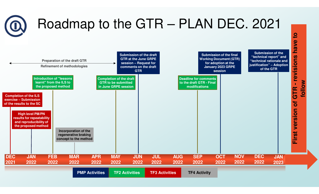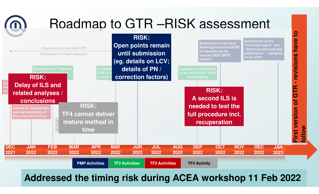

**Addressed the timing risk during ACEA workshop 11 Feb 2022**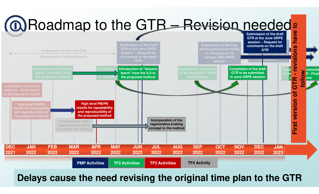

#### **Delays cause the need revising the original time plan to the GTR**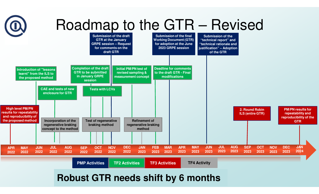

#### **Robust GTR needs shift by 6 months**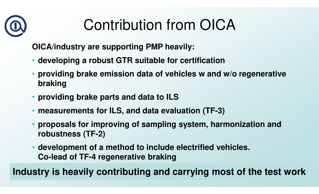# Contribution from OICA

**OICA/industry are supporting PMP heavily:**

- **developing a robust GTR suitable for certification**
- • **providing brake emission data of vehicles w and w/o regenerative braking**
- **providing brake parts and data to ILS**
- •**measurements for ILS, and data evaluation (TF-3)**
- • **proposals for improving of sampling system, harmonization and robustness (TF-2)**
- **development of a method to include electrified vehicles. Co-lead of TF-4 regenerative braking**

**Industry is heavily contributing and carrying most of the test work**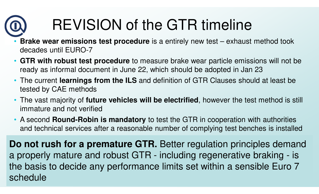# REVISION of the GTR timeline

- • **Brake wear emissions test procedure** is a entirely new test – exhaust method took decades until EURO-7
- **GTR with robust test procedure** to measure brake wear particle emissions will not be ready as informal document in June 22, which should be adopted in Jan 23
- The current **learnings from the ILS** and definition of GTR Clauses should at least be tested by CAE methods
- The vast majority of **future vehicles will be electrified**, however the test method is still immature and not verified
- A second **Round-Robin is mandatory** to test the GTR in cooperation with authorities and technical services after a reasonable number of complying test benches is installed

**Do not rush for a premature GTR.** Better regulation principles demand a properly mature and robust GTR - including regenerative braking - is<br>the bosis to deside any newformance limite actualities a consible Furs 7 the basis to decide any performance limits set within a sensible Euro 7 schedule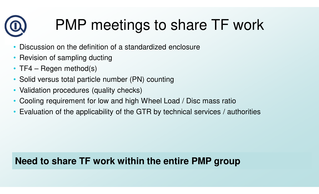## PMP meetings to share TF work

- •Discussion on the definition of a standardized enclosure
- Revision of sampling ducting
- TF4 Regen method(s)
- Solid versus total particle number (PN) counting
- Validation procedures (quality checks)
- Cooling requirement for low and high Wheel Load / Disc mass ratio
- •Evaluation of the applicability of the GTR by technical services / authorities

### **Need to share TF work within the entire PMP group**